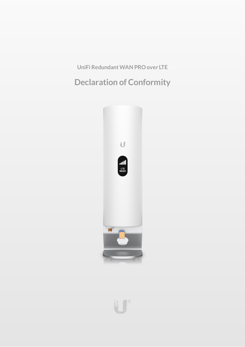**UniFi RedundantWAN PROover LTE**

# **Declaration of Conformity**



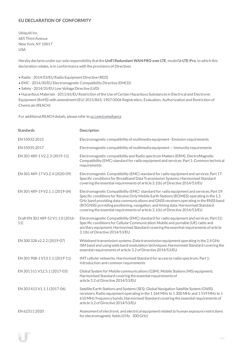# **EU DECLARATION OF CONFORMITY**

Ubiquiti Inc. 685 Third Avenue NewYork, NY 10017 USA

Hereby declares under our sole responsibility thatthe**UniFiRedundant WAN PRO over LTE**, model **U-LTE-Pro**, to which this declaration relates, is in conformancewith the provisions of Directives

- Radio 2014/53/EU Radio Equipment Directive (RED)
- EMC- 2014/30/EU Electromagnetic Compatibility Directive (EMCD)
- Safety 2014/35/EU Low Voltage Directive (LVD)

• HazardousMaterials - 2011/65/EU Restriction oftheUse ofCertain Hazardous Substances in Electrical and Electronic Equipment(RoHS) with amendment(EU) 2015/863; 1907/2006 Registration, Evaluation, Authorization and Restriction of Chemicals (REACH)

For additional REACH details, please refer to [ui.com/compliance](https://www.ui.com/compliance/)

| <b>Standards</b>                         | Description                                                                                                                                                                                                                                                                                                                                                                                                                                     |
|------------------------------------------|-------------------------------------------------------------------------------------------------------------------------------------------------------------------------------------------------------------------------------------------------------------------------------------------------------------------------------------------------------------------------------------------------------------------------------------------------|
| EN 55032:2015                            | Electromagnetic compatibility of multimedia equipment - Emission requirements                                                                                                                                                                                                                                                                                                                                                                   |
| EN 55035:2017                            | Electromagnetic compatibility of multimedia equipment - Immunity requirements                                                                                                                                                                                                                                                                                                                                                                   |
| EN 301 489-1 V2.2.3 (2019-11)            | Electromagnetic compatibility and Radio spectrum Matters (ERM); ElectroMagnetic<br>Compatibility (EMC) standard for radio equipment and services; Part 1: Common technical<br>requirements                                                                                                                                                                                                                                                      |
| EN 301 489-17 V3.2.4 (2020-09)           | Electromagnetic Compatibility (EMC) standard for radio equipment and services; Part 17:<br>Specific conditions for Broadband Data Transmission Systems; Harmonised Standard<br>covering the essential requirements of article 3.1(b) of Directive 2014/53/EU                                                                                                                                                                                    |
| EN 301 489-19 V2.1.1 (2019-04)           | Electromagnetic Compatibility (EMC) standard for radio equipment and services; Part 19:<br>Specific conditions for Receive Only Mobile Earth Stations (ROMES) operating in the 1,5<br>GHz band providing data communications and GNSS receivers operating in the RNSS band<br>(ROGNSS) providing positioning, navigation, and timing data; Harmonised Standard<br>covering the essential requirements of article 3.1(b) of Directive 2014/53/EU |
| Draft EN 301 489-52 V1.1.0 (2016-<br>11) | Electromagnetic Compatibility (EMC) standard for radio equipment and services; Part 52:<br>Specific conditions for Cellular Communication Mobile and portable (UE) radio and<br>ancillary equipment; Harmonised Standard covering the essential requirements of article<br>3.1(b) of Directive 2014/53/EU                                                                                                                                       |
| EN 300 328 v2.2.2 (2019-07)              | Wideband transmission systems; Data transmission equipment operating in the 2,4 GHz<br>ISM band and using wide band modulation techniques; Harmonised Standard covering the<br>essential requirements of article 3.2 of Directive 2014/53/EU                                                                                                                                                                                                    |
| EN 301 908-1 V13.1.1 (2019-11)           | IMT cellular networks; Harmonised Standard for access to radio spectrum; Part 1:<br>Introduction and common requirements                                                                                                                                                                                                                                                                                                                        |
| EN 301 511 V12.5.1 (2017-03)             | Global System for Mobile communications (GSM); Mobile Stations (MS) equipment;<br>Harmonised Standard covering the essential requirements of<br>article 3.2 of Directive 2014/53/EU                                                                                                                                                                                                                                                             |
| EN 303 413 V1.1.1 (2017-06)              | Satellite Earth Stations and Systems (SES); Global Navigation Satellite System (GNSS)<br>receivers; Radio equipment operating in the 1 164 MHz to 1 300 MHz and 1 559 MHz to 1<br>610 MHz frequency bands; Harmonised Standard covering the essential requirements of<br>article 3.2 of Directive 2014/53/EU                                                                                                                                    |
| EN 62311:2020                            | Assessment of electronic and electrical equipment related to human exposure restrictions<br>for electromagnetic fields (0 Hz - 300 GHz)                                                                                                                                                                                                                                                                                                         |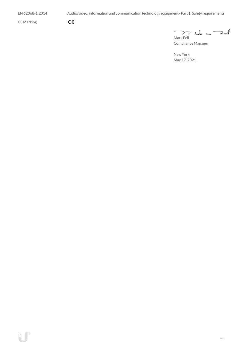CE Marking

 $\zeta\in$ 

 $m.$   $\rightarrow$  $\mathcal{P}$ 

Mark Feil Compliance Manager

NewYork May 17, 2021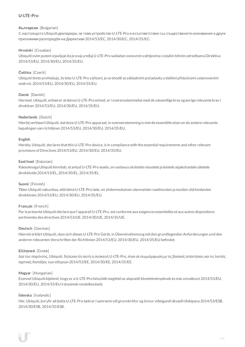# **U-LTE-Pro**

## **български** [Bulgarian]

С настоящото Ubiquiti декларира, че това устройство U-LTE-Pro е в съответствие със съществените изисквания и други приложими разпоредби на Директиви 2014/53/EC, 2014/30/ЕС, 2014/35/ЕС.

## **Hrvatski** [Croatian]

Ubiquiti ovim putem izjavljuje da je ovaj uređaj U-LTE-Pro sukladan osnovnim zahtjevima i ostalim bitnim odredbama Direktiva 2014/53/EU, 2014/30/EU, 2014/35/EU.

## **Čeština** [Czech]

Ubiquititímto prohlašuje, že toto U-LTE-Pro zařízení, je ve shodě se základními požadavky a dalšími příslušnými ustanoveními směrnic 2014/53/EU, 2014/30/EU, 2014/35/EU.

#### **Dansk** [Danish]

Hermed, Ubiquiti, erklærer at denne U-LTE-Pro enhed, er i overensstemmelse med de væsentlige krav og øvrige relevante krav i direktiver 2014/53/EU, 2014/30/EU, 2014/35/EU.

#### **Nederlands** [Dutch]

Hierbij verklaartUbiquiti, datdezeU-LTE-Pro apparaat, in overeenstemming is metde essentiële eisen en de andere relevante bepalingen van richtlijnen 2014/53/EU, 2014/30/EU, 2014/35/EU.

#### **English**

Hereby, Ubiquiti, declares thatthis U-LTE-Pro device, is in compliancewith the essential requirements and other relevant provisions of Directives 2014/53/EU, 2014/30/EU, 2014/35/EU.

#### **Eesti keel** [Estonian]

Käesolevaga Ubiquiti kinnitab, et antud U-LTE-Pro seade, on vastavus olulistele nõuetele ja teistele asjakohastele sätetele direktiivide2014/53/EL, 2014/30/EL, 2014/35/EL.

#### **Suomi** [Finnish]

Täten Ubiquiti vakuuttaa, että tämä U-LTE-Pro laite, on yhdenmukainen olennaisten vaatimusten ja muiden sitä koskevien direktiivien 2014/53/EU, 2014/30/EU, 2014/35/EU.

## **Français** [French]

Par la présente Ubiquiti déclare que l'appareil U-LTE-Pro, est conforme aux exigences essentielles et aux autres dispositions pertinentes des directives 2014/53/UE, 2014/30/UE, 2014/35/UE.

#### **Deutsch** [German]

HiermiterklärtUbiquiti, dass sich dieses U-LTE-Pro Gerät, in Übereinstimmung mitden grundlegenden Anforderungen und den anderen relevanten Vorschriften der Richtlinien 2014/53/EU, 2014/30/EU, 2014/35/EU befindet.

#### **Ελληνικά** [Greek]

Δια του παρόντος, Ubiquiti, δηλώνει ότι αυτή η συσκευή U-LTE-Pro, είναι σεσυµµόρφωση µε τις βασικές απαιτήσεις καιτις λοιπές σχετικές διατάξεις των οδηγιών 2014/53/EE, 2014/30/EE, 2014/35/EE.

#### **Magyar** [Hungarian]

Ezennel Ubiquiti kijelenti, hogy ez a U-LTE-Pro készülék megfelel az alapvető követelményeknek és más vonatkozó 2014/53/EU, 2014/30/EU, 2014/35/EU irányelvek rendelkezéseit.

#### **Íslenska** [Icelandic]

Hér, Ubiquiti, því yfir að þetta U-LTE-Pro tæki er í samræmi við grunnkröfur og önnur viðeigandi ákvæði tilskipana 2014/53/ESB, 2014/30/ESB, 2014/35/ESB.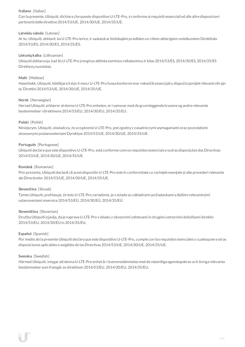## **Italiano** [Italian]

Con la presente, Ubiquiti, dichiara che questo dispositivo U-LTE-Pro, è conforme ai requisiti essenziali ed alle altre disposizioni pertinenti delle direttive2014/53/UE, 2014/30/UE, 2014/35/UE.

## **Latviešu valoda** [Latvian]

Ar šo, Ubiquiti, deklarē, ka U-LTE-Pro ierīce, ir saskaņā ar būtiskajām prasībām un citiem attiecīgiem noteikumiem Direktīvās 2014/53/ES, 2014/30/ES, 2014/35/ES.

## **Lietuviųkalba** [Lithuanian]

Ubiquiti deklaruoja, kad šis U-LTE-Pro įrenginys atitinka esminius reikalavimus ir kitas 2014/53/ES, 2014/30/ES, 2014/35/ES Direktyvų nuostatas.

## **Malti** [Maltese]

Hawnhekk, Ubiquiti, tiddikjara li dan il-mezz U-LTE-Pro huwa konformi mar-rekwiżiti essenzjali u dispożizzjonijiet rilevanti oħrajn ta 'Direttivi 2014/53/UE, 2014/30/UE, 2014/35/UE.

#### **Norsk** [Norwegian]

Herved Ubiquiti, erklærer atdenneU-LTE-Pro enheten, er i samsvar med de grunnleggende kravene og andre relevante bestemmelser i direktivene2014/53/EU, 2014/30/EU, 2014/35/EU.

#### **Polski** [Polish]

Niniejszym, Ubiquiti, oświadcza, że urządzenieU-LTE-Pro, jest zgodny z zasadniczymi wymaganiami oraz pozostałymi stosownymi postanowieniami Dyrektyw2014/53/UE, 2014/30/UE, 2014/35/UE.

#### **Português** [Portuguese]

Ubiquiti declara que este dispositivo U-LTE-Pro, está conforme com os requisitos essenciais e outras disposições das Directivas 2014/53/UE, 2014/30/UE, 2014/35/UE.

#### **Română** [Romanian]

Prin prezenta, Ubiquiti declară că acestdispozitiv U-LTE-Pro este în conformitate cu cerințele esențiale și alte prevederi relevante aleDirectivelor 2014/53/UE, 2014/30/UE, 2014/35/UE.

#### **Slovenčina** [Slovak]

Týmto Ubiquiti, prehlasuje, že toto U-LTE-Pro zariadenie, je v súlade so základnými požiadavkami a ďalšími relevantnými ustanoveniami smernice2014/53/EÚ, 2014/30/EÚ, 2014/35/EÚ.

#### **Slovenščina** [Slovenian]

Družba Ubiquiti izjavlja, da je naprava U-LTE-Pro v skladu z obveznimi zahtevami in drugimi ustreznimi določbami direktiv 2014/53/EU, 2014/30/EU in 2014/35/EU.

#### **Español** [Spanish]

Por medio de la presente Ubiquiti declara que este dispositivo U-LTE-Pro, cumple con los requisitos esenciales y cualesquiera otras disposiciones aplicables o exigibles de las Directivas 2014/53/UE, 2014/30/UE, 2014/35/UE.

#### **Svenska** [Swedish]

Härmed Ubiquiti, intygar attdenna U-LTE-Pro enhet är i överensstämmelse med de väsentliga egenskapskrav och övriga relevanta bestämmelser som framgår av direktiven 2014/53/EU, 2014/30/EU, 2014/35/EU.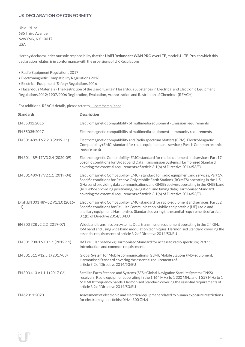## **UK DECLARATION OF CONFORMITY**

Ubiquiti Inc. 685 Third Avenue NewYork, NY 10017 USA

Hereby declares under our sole responsibility thatthe**UniFiRedundant WAN PRO over LTE**, model **U-LTE-Pro**, to which this declaration relates, is in conformance with the provisions of UK Regulations

- Radio Equipment Regulations 2017
- Electromagnetic Compatibility Regulations 2016
- Electrical Equipment(Safety) Regulations 2016

• HazardousMaterials - TheRestriction oftheUse ofCertain Hazardous Substances in Electrical and Electronic Equipment Regulations 2012; 1907/2006 Registration, Evaluation, Authorization and Restriction of Chemicals (REACH)

For additional REACH details, please refer to [ui.com/compliance](https://www.ui.com/compliance/)

| <b>Standards</b>                         | Description                                                                                                                                                                                                                                                                                                                                                                                                                                     |
|------------------------------------------|-------------------------------------------------------------------------------------------------------------------------------------------------------------------------------------------------------------------------------------------------------------------------------------------------------------------------------------------------------------------------------------------------------------------------------------------------|
| EN 55032:2015                            | Electromagnetic compatibility of multimedia equipment - Emission requirements                                                                                                                                                                                                                                                                                                                                                                   |
| EN 55035:2017                            | Electromagnetic compatibility of multimedia equipment - Immunity requirements                                                                                                                                                                                                                                                                                                                                                                   |
| EN 301 489-1 V2.2.3 (2019-11)            | Electromagnetic compatibility and Radio spectrum Matters (ERM); ElectroMagnetic<br>Compatibility (EMC) standard for radio equipment and services; Part 1: Common technical<br>requirements                                                                                                                                                                                                                                                      |
| EN 301 489-17 V3.2.4 (2020-09)           | Electromagnetic Compatibility (EMC) standard for radio equipment and services; Part 17:<br>Specific conditions for Broadband Data Transmission Systems; Harmonised Standard<br>covering the essential requirements of article 3.1(b) of Directive 2014/53/EU                                                                                                                                                                                    |
| EN 301 489-19 V2.1.1 (2019-04)           | Electromagnetic Compatibility (EMC) standard for radio equipment and services; Part 19:<br>Specific conditions for Receive Only Mobile Earth Stations (ROMES) operating in the 1,5<br>GHz band providing data communications and GNSS receivers operating in the RNSS band<br>(ROGNSS) providing positioning, navigation, and timing data; Harmonised Standard<br>covering the essential requirements of article 3.1(b) of Directive 2014/53/EU |
| Draft EN 301 489-52 V1.1.0 (2016-<br>11) | Electromagnetic Compatibility (EMC) standard for radio equipment and services; Part 52:<br>Specific conditions for Cellular Communication Mobile and portable (UE) radio and<br>ancillary equipment; Harmonised Standard covering the essential requirements of article<br>3.1(b) of Directive 2014/53/EU                                                                                                                                       |
| EN 300 328 v2.2.2 (2019-07)              | Wideband transmission systems; Data transmission equipment operating in the 2,4 GHz<br>ISM band and using wide band modulation techniques; Harmonised Standard covering the<br>essential requirements of article 3.2 of Directive 2014/53/EU                                                                                                                                                                                                    |
| EN 301 908-1 V13.1.1 (2019-11)           | IMT cellular networks; Harmonised Standard for access to radio spectrum; Part 1:<br>Introduction and common requirements                                                                                                                                                                                                                                                                                                                        |
| EN 301 511 V12.5.1 (2017-03)             | Global System for Mobile communications (GSM); Mobile Stations (MS) equipment;<br>Harmonised Standard covering the essential requirements of<br>article 3.2 of Directive 2014/53/EU                                                                                                                                                                                                                                                             |
| EN 303 413 V1.1.1 (2017-06)              | Satellite Earth Stations and Systems (SES); Global Navigation Satellite System (GNSS)<br>receivers; Radio equipment operating in the 1 164 MHz to 1 300 MHz and 1 559 MHz to 1<br>610 MHz frequency bands; Harmonised Standard covering the essential requirements of<br>article 3.2 of Directive 2014/53/EU                                                                                                                                    |
| EN 62311:2020                            | Assessment of electronic and electrical equipment related to human exposure restrictions<br>for electromagnetic fields (0 Hz - 300 GHz)                                                                                                                                                                                                                                                                                                         |